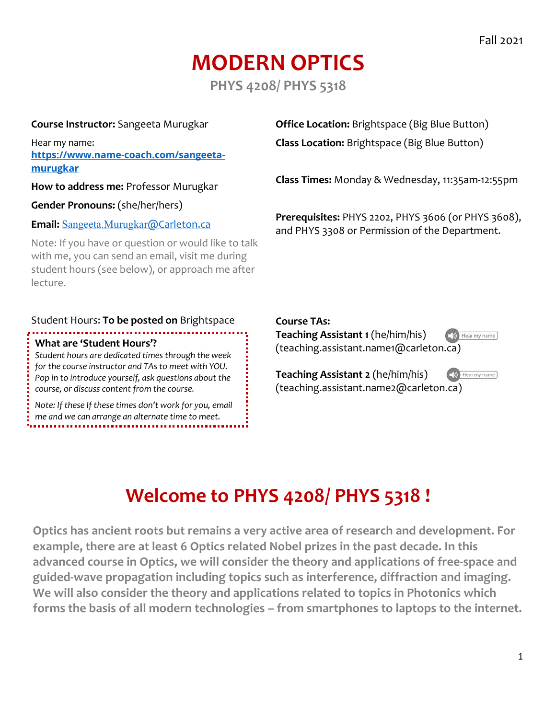# **MODERN OPTICS**

**PHYS 4208/ PHYS 5318**

#### **Course Instructor:** Sangeeta Murugkar

Hear my name: **https://www.name-coach.com/sangeetamurugkar**

**How to address me:** Professor Murugkar

**Gender Pronouns:** (she/her/hers)

#### **Email:** Sangeeta.Murugkar@Carleton.ca

Note: If you have or question or would like to talk with me, you can send an email, visit me during student hours (see below), or approach me after lecture.

#### Student Hours: **To be posted on** Brightspace

#### **What are 'Student Hours'?**

*Student hours are dedicated times through the week for the course instructor and TAs to meet with YOU. Pop in to introduce yourself, ask questions about the course, or discuss content from the course.*

*Note: If these If these times don't work for you, email me and we can arrange an alternate time to meet.*

**Office Location:** Brightspace (Big Blue Button) **Class Location:** Brightspace (Big Blue Button)

**Class Times:** Monday & Wednesday, 11:35am-12:55pm

**Prerequisites:** PHYS 2202, PHYS 3606 (or PHYS 3608), and PHYS 3308 or Permission of the Department.

#### **Course TAs:**

**Teaching Assistant 1** (he/him/his) (teaching.assistant.name1@carleton.ca)

Hear my name

(b) Hear my name

**Teaching Assistant 2** (he/him/his) (teaching.assistant.name2@carleton.ca)

# **Welcome to PHYS 4208/ PHYS 5318 !**

**Optics has ancient roots but remains a very active area of research and development. For example, there are at least 6 Optics related Nobel prizes in the past decade. In this advanced course in Optics, we will consider the theory and applications of free-space and guided-wave propagation including topics such as interference, diffraction and imaging. We will also consider the theory and applications related to topics in Photonics which forms the basis of all modern technologies – from smartphones to laptops to the internet.**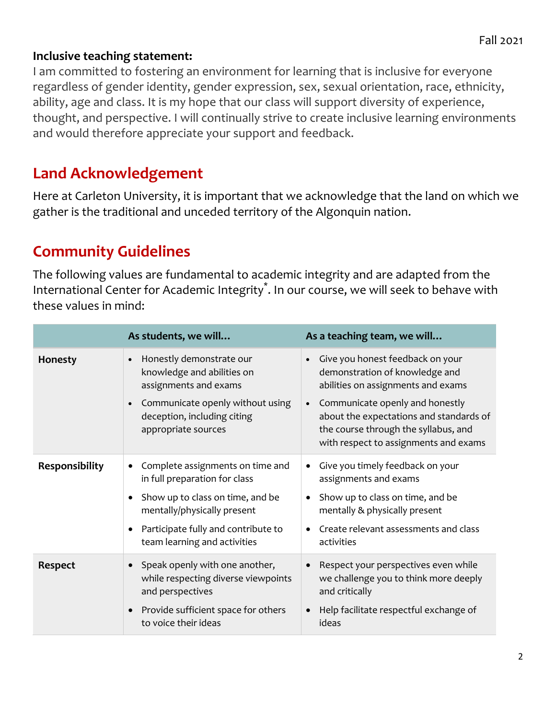#### **Inclusive teaching statement:**

I am committed to fostering an environment for learning that is inclusive for everyone regardless of gender identity, gender expression, sex, sexual orientation, race, ethnicity, ability, age and class. It is my hope that our class will support diversity of experience, thought, and perspective. I will continually strive to create inclusive learning environments and would therefore appreciate your support and feedback.

#### **Land Acknowledgement**

Here at Carleton University, it is important that we acknowledge that the land on which we gather is the traditional and unceded territory of the Algonquin nation.

### **Community Guidelines**

The following values are fundamental to academic integrity and are adapted from the International Center for Academic Integrity<sup>\*</sup>. In our course, we will seek to behave with these values in mind:

|                | As students, we will                                                                                                                                                                                                     | As a teaching team, we will                                                                                                                                                                                                                                                                       |
|----------------|--------------------------------------------------------------------------------------------------------------------------------------------------------------------------------------------------------------------------|---------------------------------------------------------------------------------------------------------------------------------------------------------------------------------------------------------------------------------------------------------------------------------------------------|
| Honesty        | Honestly demonstrate our<br>$\bullet$<br>knowledge and abilities on<br>assignments and exams<br>Communicate openly without using<br>deception, including citing<br>appropriate sources                                   | Give you honest feedback on your<br>$\bullet$<br>demonstration of knowledge and<br>abilities on assignments and exams<br>Communicate openly and honestly<br>$\bullet$<br>about the expectations and standards of<br>the course through the syllabus, and<br>with respect to assignments and exams |
| Responsibility | Complete assignments on time and<br>$\bullet$<br>in full preparation for class<br>Show up to class on time, and be<br>mentally/physically present<br>Participate fully and contribute to<br>team learning and activities | Give you timely feedback on your<br>٠<br>assignments and exams<br>Show up to class on time, and be<br>$\bullet$<br>mentally & physically present<br>Create relevant assessments and class<br>$\bullet$<br>activities                                                                              |
| <b>Respect</b> | Speak openly with one another,<br>while respecting diverse viewpoints<br>and perspectives<br>Provide sufficient space for others<br>to voice their ideas                                                                 | Respect your perspectives even while<br>$\bullet$<br>we challenge you to think more deeply<br>and critically<br>Help facilitate respectful exchange of<br>$\bullet$<br>ideas                                                                                                                      |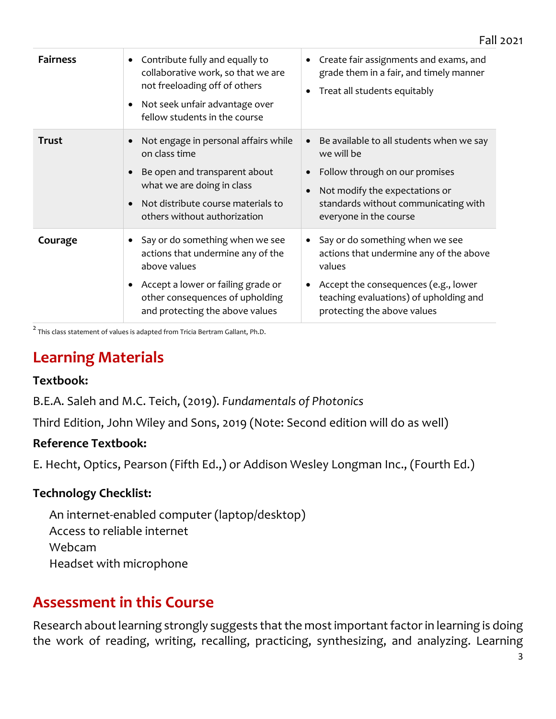| <b>Fairness</b> | Contribute fully and equally to<br>collaborative work, so that we are<br>not freeloading off of others<br>Not seek unfair advantage over<br>fellow students in the course                        | Create fair assignments and exams, and<br>$\bullet$<br>grade them in a fair, and timely manner<br>Treat all students equitably<br>$\bullet$                                                                                     |
|-----------------|--------------------------------------------------------------------------------------------------------------------------------------------------------------------------------------------------|---------------------------------------------------------------------------------------------------------------------------------------------------------------------------------------------------------------------------------|
| <b>Trust</b>    | Not engage in personal affairs while<br>on class time<br>Be open and transparent about<br>what we are doing in class<br>Not distribute course materials to<br>others without authorization       | Be available to all students when we say<br>$\bullet$<br>we will be<br>Follow through on our promises<br>Not modify the expectations or<br>$\bullet$<br>standards without communicating with<br>everyone in the course          |
| Courage         | Say or do something when we see<br>actions that undermine any of the<br>above values<br>Accept a lower or failing grade or<br>other consequences of upholding<br>and protecting the above values | Say or do something when we see<br>$\bullet$<br>actions that undermine any of the above<br>values<br>Accept the consequences (e.g., lower<br>$\bullet$<br>teaching evaluations) of upholding and<br>protecting the above values |

 $^{2}$  This class statement of values is adapted from Tricia Bertram Gallant, Ph.D.

#### **Learning Materials**

#### **Textbook:**

B.E.A. Saleh and M.C. Teich, (2019). *Fundamentals of Photonics* 

Third Edition, John Wiley and Sons, 2019 (Note: Second edition will do as well)

#### **Reference Textbook:**

E. Hecht, Optics, Pearson (Fifth Ed.,) or Addison Wesley Longman Inc., (Fourth Ed.)

#### **Technology Checklist:**

 An internet-enabled computer (laptop/desktop) Access to reliable internet Webcam Headset with microphone

#### **Assessment in this Course**

Research about learning strongly suggests that the most important factor in learning is doing the work of reading, writing, recalling, practicing, synthesizing, and analyzing. Learning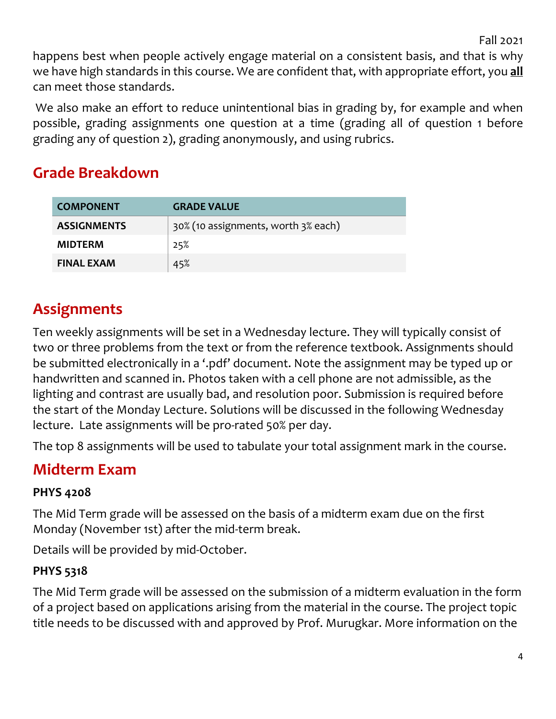Fall 2021

happens best when people actively engage material on a consistent basis, and that is why we have high standards in this course. We are confident that, with appropriate effort, you **all** can meet those standards.

We also make an effort to reduce unintentional bias in grading by, for example and when possible, grading assignments one question at a time (grading all of question 1 before grading any of question 2), grading anonymously, and using rubrics.

### **Grade Breakdown**

| <b>COMPONENT</b>   | <b>GRADE VALUE</b>                  |
|--------------------|-------------------------------------|
| <b>ASSIGNMENTS</b> | 30% (10 assignments, worth 3% each) |
| <b>MIDTERM</b>     | 25%                                 |
| <b>FINAL EXAM</b>  | 45%                                 |

# **Assignments**

Ten weekly assignments will be set in a Wednesday lecture. They will typically consist of two or three problems from the text or from the reference textbook. Assignments should be submitted electronically in a '.pdf' document. Note the assignment may be typed up or handwritten and scanned in. Photos taken with a cell phone are not admissible, as the lighting and contrast are usually bad, and resolution poor. Submission is required before the start of the Monday Lecture. Solutions will be discussed in the following Wednesday lecture. Late assignments will be pro-rated 50% per day.

The top 8 assignments will be used to tabulate your total assignment mark in the course.

# **Midterm Exam**

#### **PHYS 4208**

The Mid Term grade will be assessed on the basis of a midterm exam due on the first Monday (November 1st) after the mid-term break.

Details will be provided by mid-October.

#### **PHYS 5318**

The Mid Term grade will be assessed on the submission of a midterm evaluation in the form of a project based on applications arising from the material in the course. The project topic title needs to be discussed with and approved by Prof. Murugkar. More information on the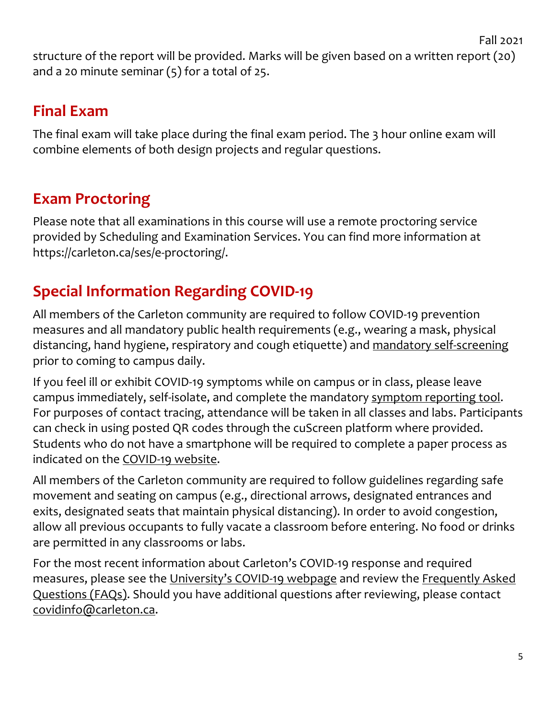structure of the report will be provided. Marks will be given based on a written report (20) and a 20 minute seminar  $(5)$  for a total of 25.

## **Final Exam**

The final exam will take place during the final exam period. The 3 hour online exam will combine elements of both design projects and regular questions.

# **Exam Proctoring**

Please note that all examinations in this course will use a remote proctoring service provided by Scheduling and Examination Services. You can find more information at https://carleton.ca/ses/e-proctoring/.

# **Special Information Regarding COVID-19**

All members of the Carleton community are required to follow COVID-19 prevention measures and all mandatory public health requirements (e.g., wearing a mask, physical distancing, hand hygiene, respiratory and cough etiquette) and mandatory self-screening prior to coming to campus daily.

If you feel ill or exhibit COVID-19 symptoms while on campus or in class, please leave campus immediately, self-isolate, and complete the mandatory symptom reporting tool. For purposes of contact tracing, attendance will be taken in all classes and labs. Participants can check in using posted QR codes through the cuScreen platform where provided. Students who do not have a smartphone will be required to complete a paper process as indicated on the COVID-19 website.

All members of the Carleton community are required to follow guidelines regarding safe movement and seating on campus (e.g., directional arrows, designated entrances and exits, designated seats that maintain physical distancing). In order to avoid congestion, allow all previous occupants to fully vacate a classroom before entering. No food or drinks are permitted in any classrooms or labs.

For the most recent information about Carleton's COVID-19 response and required measures, please see the University's COVID-19 webpage and review the Frequently Asked Questions (FAQs). Should you have additional questions after reviewing, please contact covidinfo@carleton.ca.

Fall 2021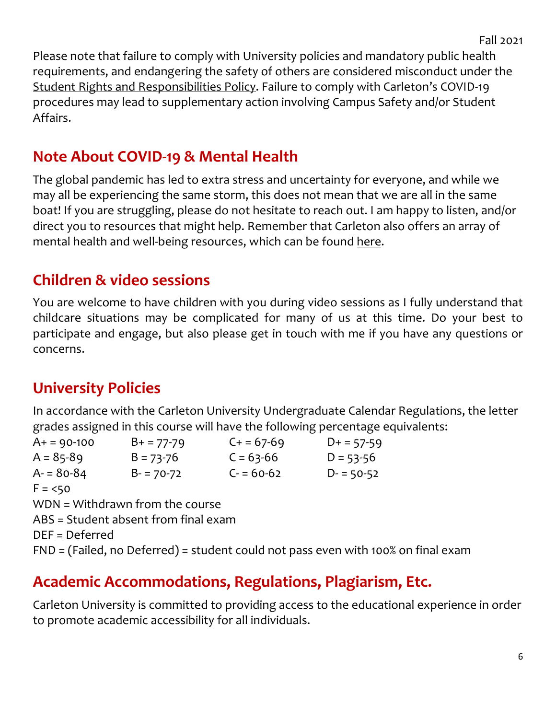Please note that failure to comply with University policies and mandatory public health requirements, and endangering the safety of others are considered misconduct under the Student Rights and Responsibilities Policy. Failure to comply with Carleton's COVID-19 procedures may lead to supplementary action involving Campus Safety and/or Student Affairs.

### **Note About COVID-19 & Mental Health**

The global pandemic has led to extra stress and uncertainty for everyone, and while we may all be experiencing the same storm, this does not mean that we are all in the same boat! If you are struggling, please do not hesitate to reach out. I am happy to listen, and/or direct you to resources that might help. Remember that Carleton also offers an array of mental health and well-being resources, which can be found here.

#### **Children & video sessions**

You are welcome to have children with you during video sessions as I fully understand that childcare situations may be complicated for many of us at this time. Do your best to participate and engage, but also please get in touch with me if you have any questions or concerns.

### **University Policies**

In accordance with the Carleton University Undergraduate Calendar Regulations, the letter grades assigned in this course will have the following percentage equivalents:

| $A+ = 90-100$  | $B+ = 77-79$                         | $C + 57-69$ | $D+ = 57-59$                                                                      |  |
|----------------|--------------------------------------|-------------|-----------------------------------------------------------------------------------|--|
| $A = 85 - 89$  | $B = 73 - 76$                        | $C = 63-66$ | $D = 53 - 56$                                                                     |  |
| $A = 80 - 84$  | $B - 70 - 72$                        | $C = 60-62$ | $D - 50-52$                                                                       |  |
| $F = 50$       |                                      |             |                                                                                   |  |
|                | WDN = Withdrawn from the course      |             |                                                                                   |  |
|                | ABS = Student absent from final exam |             |                                                                                   |  |
| DEF = Deferred |                                      |             |                                                                                   |  |
|                |                                      |             | FND = (Failed, no Deferred) = student could not pass even with 100% on final exam |  |
|                |                                      |             |                                                                                   |  |

#### **Academic Accommodations, Regulations, Plagiarism, Etc.**

Carleton University is committed to providing access to the educational experience in order to promote academic accessibility for all individuals.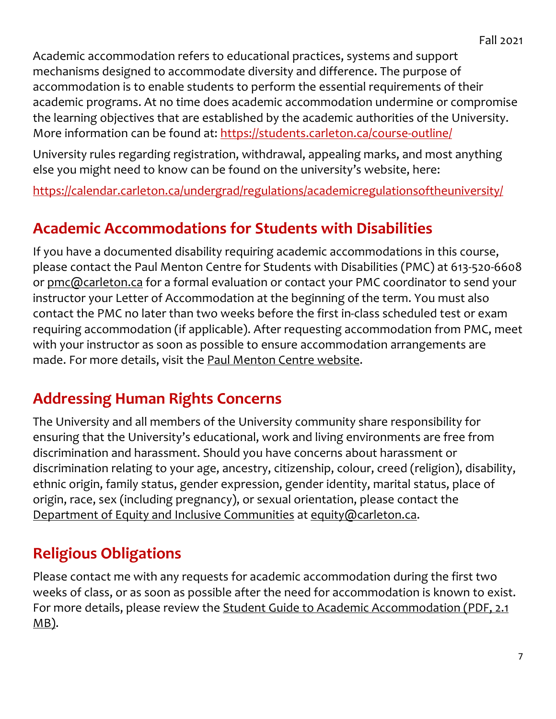Academic accommodation refers to educational practices, systems and support mechanisms designed to accommodate diversity and difference. The purpose of accommodation is to enable students to perform the essential requirements of their academic programs. At no time does academic accommodation undermine or compromise the learning objectives that are established by the academic authorities of the University. More information can be found at: https://students.carleton.ca/course-outline/

University rules regarding registration, withdrawal, appealing marks, and most anything else you might need to know can be found on the university's website, here:

https://calendar.carleton.ca/undergrad/regulations/academicregulationsoftheuniversity/

#### **Academic Accommodations for Students with Disabilities**

If you have a documented disability requiring academic accommodations in this course, please contact the Paul Menton Centre for Students with Disabilities (PMC) at 613-520-6608 or pmc@carleton.ca for a formal evaluation or contact your PMC coordinator to send your instructor your Letter of Accommodation at the beginning of the term. You must also contact the PMC no later than two weeks before the first in-class scheduled test or exam requiring accommodation (if applicable). After requesting accommodation from PMC, meet with your instructor as soon as possible to ensure accommodation arrangements are made. For more details, visit the Paul Menton Centre website.

#### **Addressing Human Rights Concerns**

The University and all members of the University community share responsibility for ensuring that the University's educational, work and living environments are free from discrimination and harassment. Should you have concerns about harassment or discrimination relating to your age, ancestry, citizenship, colour, creed (religion), disability, ethnic origin, family status, gender expression, gender identity, marital status, place of origin, race, sex (including pregnancy), or sexual orientation, please contact the Department of Equity and Inclusive Communities at equity@carleton.ca.

## **Religious Obligations**

Please contact me with any requests for academic accommodation during the first two weeks of class, or as soon as possible after the need for accommodation is known to exist. For more details, please review the Student Guide to Academic Accommodation (PDF, 2.1)  $MB$ ).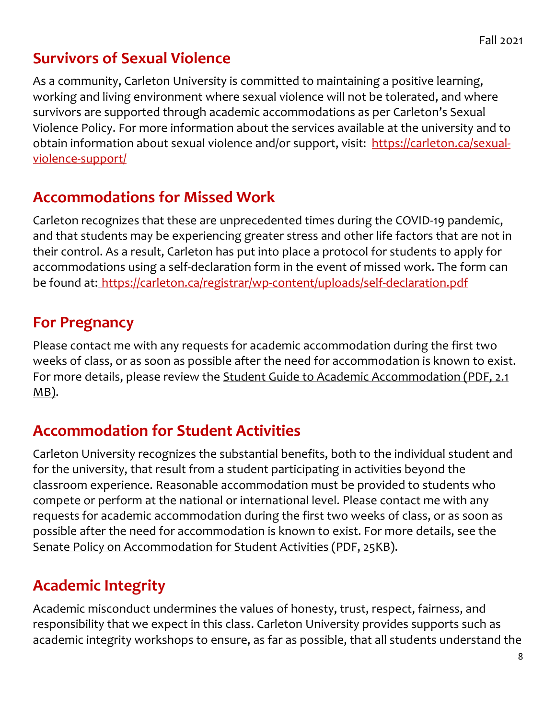## **Survivors of Sexual Violence**

As a community, Carleton University is committed to maintaining a positive learning, working and living environment where sexual violence will not be tolerated, and where survivors are supported through academic accommodations as per Carleton's Sexual Violence Policy. For more information about the services available at the university and to obtain information about sexual violence and/or support, visit: https://carleton.ca/sexualviolence-support/

### **Accommodations for Missed Work**

Carleton recognizes that these are unprecedented times during the COVID-19 pandemic, and that students may be experiencing greater stress and other life factors that are not in their control. As a result, Carleton has put into place a protocol for students to apply for accommodations using a self-declaration form in the event of missed work. The form can be found at: https://carleton.ca/registrar/wp-content/uploads/self-declaration.pdf

### **For Pregnancy**

Please contact me with any requests for academic accommodation during the first two weeks of class, or as soon as possible after the need for accommodation is known to exist. For more details, please review the Student Guide to Academic Accommodation (PDF, 2.1) MB).

## **Accommodation for Student Activities**

Carleton University recognizes the substantial benefits, both to the individual student and for the university, that result from a student participating in activities beyond the classroom experience. Reasonable accommodation must be provided to students who compete or perform at the national or international level. Please contact me with any requests for academic accommodation during the first two weeks of class, or as soon as possible after the need for accommodation is known to exist. For more details, see the Senate Policy on Accommodation for Student Activities (PDF, 25KB).

# **Academic Integrity**

Academic misconduct undermines the values of honesty, trust, respect, fairness, and responsibility that we expect in this class. Carleton University provides supports such as academic integrity workshops to ensure, as far as possible, that all students understand the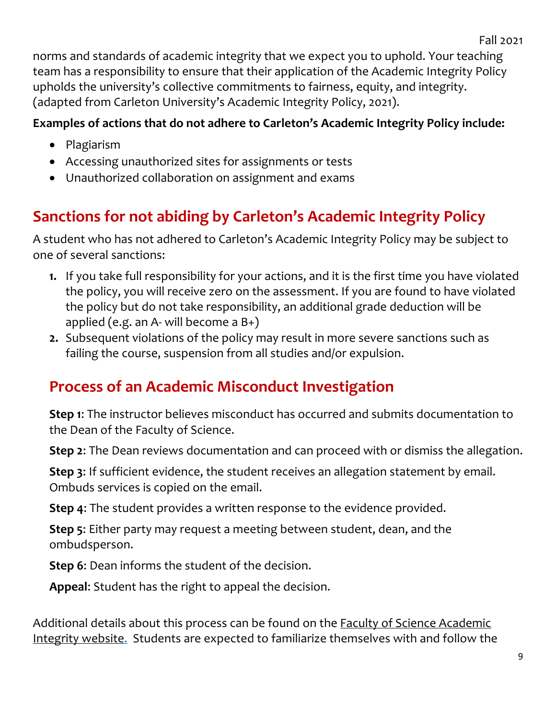norms and standards of academic integrity that we expect you to uphold. Your teaching team has a responsibility to ensure that their application of the Academic Integrity Policy upholds the university's collective commitments to fairness, equity, and integrity. (adapted from Carleton University's Academic Integrity Policy, 2021).

#### **Examples of actions that do not adhere to Carleton's Academic Integrity Policy include:**

- Plagiarism
- Accessing unauthorized sites for assignments or tests
- Unauthorized collaboration on assignment and exams

# **Sanctions for not abiding by Carleton's Academic Integrity Policy**

A student who has not adhered to Carleton's Academic Integrity Policy may be subject to one of several sanctions:

- **1.** If you take full responsibility for your actions, and it is the first time you have violated the policy, you will receive zero on the assessment. If you are found to have violated the policy but do not take responsibility, an additional grade deduction will be applied (e.g. an A- will become a  $B_{+}$ )
- **2.** Subsequent violations of the policy may result in more severe sanctions such as failing the course, suspension from all studies and/or expulsion.

# **Process of an Academic Misconduct Investigation**

**Step 1**: The instructor believes misconduct has occurred and submits documentation to the Dean of the Faculty of Science.

**Step 2**: The Dean reviews documentation and can proceed with or dismiss the allegation.

**Step 3**: If sufficient evidence, the student receives an allegation statement by email. Ombuds services is copied on the email.

**Step 4**: The student provides a written response to the evidence provided.

**Step 5**: Either party may request a meeting between student, dean, and the ombudsperson.

**Step 6**: Dean informs the student of the decision.

**Appeal**: Student has the right to appeal the decision.

Additional details about this process can be found on the Faculty of Science Academic Integrity website. Students are expected to familiarize themselves with and follow the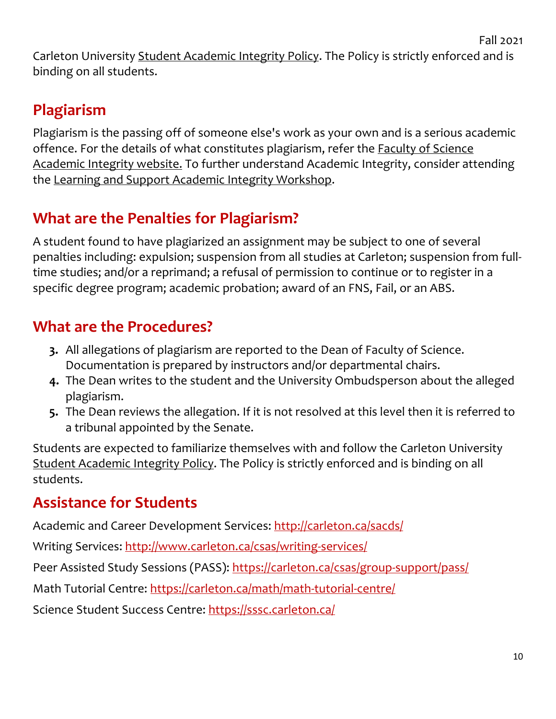Carleton University Student Academic Integrity Policy. The Policy is strictly enforced and is binding on all students.

# **Plagiarism**

Plagiarism is the passing off of someone else's work as your own and is a serious academic offence. For the details of what constitutes plagiarism, refer the Faculty of Science Academic Integrity website. To further understand Academic Integrity, consider attending the Learning and Support Academic Integrity Workshop.

# **What are the Penalties for Plagiarism?**

A student found to have plagiarized an assignment may be subject to one of several penalties including: expulsion; suspension from all studies at Carleton; suspension from fulltime studies; and/or a reprimand; a refusal of permission to continue or to register in a specific degree program; academic probation; award of an FNS, Fail, or an ABS.

# **What are the Procedures?**

- **3.** All allegations of plagiarism are reported to the Dean of Faculty of Science. Documentation is prepared by instructors and/or departmental chairs.
- **4.** The Dean writes to the student and the University Ombudsperson about the alleged plagiarism.
- **5.** The Dean reviews the allegation. If it is not resolved at this level then it is referred to a tribunal appointed by the Senate.

Students are expected to familiarize themselves with and follow the Carleton University Student Academic Integrity Policy. The Policy is strictly enforced and is binding on all students.

## **Assistance for Students**

Academic and Career Development Services: http://carleton.ca/sacds/

Writing Services: http://www.carleton.ca/csas/writing-services/

Peer Assisted Study Sessions (PASS): https://carleton.ca/csas/group-support/pass/

Math Tutorial Centre: https://carleton.ca/math/math-tutorial-centre/

Science Student Success Centre: https://sssc.carleton.ca/